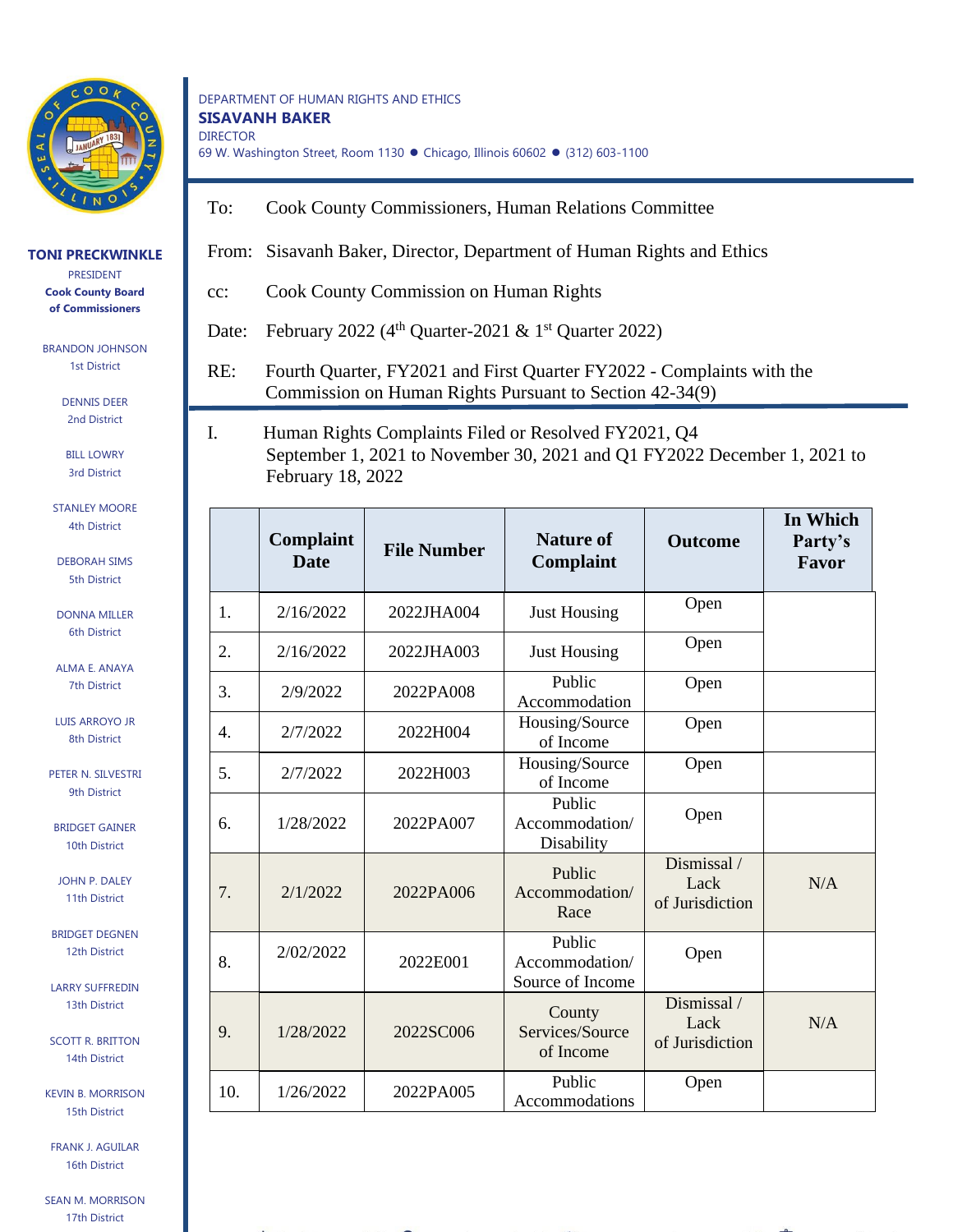

## **TONI PRECKWINKLE**

PRESIDENT **Cook County Board of Commissioners**

BRANDON JOHNSON 1st District

> DENNIS DEER 2nd District

BILL LOWRY 3rd District

STANLEY MOORE 4th District

DEBORAH SIMS 5th District

DONNA MILLER 6th District

ALMA E. ANAYA 7th District

LUIS ARROYO JR 8th District

PETER N. SILVESTRI 9th District

BRIDGET GAINER 10th District

JOHN P. DALEY 11th District

BRIDGET DEGNEN 12th District

LARRY SUFFREDIN 13th District

SCOTT R. BRITTON 14th District

KEVIN B. MORRISON 15th District

FRANK J. AGUILAR 16th District

SEAN M. MORRISON 17th District

## DEPARTMENT OF HUMAN RIGHTS AND ETHICS **SISAVANH BAKER** DIRECTOR 69 W. Washington Street, Room 1130 ⚫ Chicago, Illinois 60602 ⚫ (312) 603-1100

- To: Cook County Commissioners, Human Relations Committee
- From: Sisavanh Baker, Director, Department of Human Rights and Ethics
- cc: Cook County Commission on Human Rights

Date: February 2022 ( $4<sup>th</sup>$  Quarter-2021 & 1<sup>st</sup> Quarter 2022)

RE: Fourth Quarter, FY2021 and First Quarter FY2022 - Complaints with the Commission on Human Rights Pursuant to Section 42-34(9)

I. Human Rights Complaints Filed or Resolved FY2021, Q4 September 1, 2021 to November 30, 2021 and Q1 FY2022 December 1, 2021 to February 18, 2022

|     | Complaint<br><b>Date</b> | <b>File Number</b> | <b>Nature of</b><br>Complaint                | <b>Outcome</b>                         | In Which<br>Party's<br>Favor |
|-----|--------------------------|--------------------|----------------------------------------------|----------------------------------------|------------------------------|
| 1.  | 2/16/2022                | 2022JHA004         | <b>Just Housing</b>                          | Open                                   |                              |
| 2.  | 2/16/2022                | 2022JHA003         | <b>Just Housing</b>                          | Open                                   |                              |
| 3.  | 2/9/2022                 | 2022PA008          | Public<br>Accommodation                      | Open                                   |                              |
| 4.  | 2/7/2022                 | 2022H004           | Housing/Source<br>of Income                  | Open                                   |                              |
| 5.  | 2/7/2022                 | 2022H003           | Housing/Source<br>of Income                  | Open                                   |                              |
| 6.  | 1/28/2022                | 2022PA007          | Public<br>Accommodation/<br>Disability       | Open                                   |                              |
| 7.  | 2/1/2022                 | 2022PA006          | Public<br>Accommodation/<br>Race             | Dismissal /<br>Lack<br>of Jurisdiction | N/A                          |
| 8.  | 2/02/2022                | 2022E001           | Public<br>Accommodation/<br>Source of Income | Open                                   |                              |
| 9.  | 1/28/2022                | 2022SC006          | County<br>Services/Source<br>of Income       | Dismissal/<br>Lack<br>of Jurisdiction  | N/A                          |
| 10. | 1/26/2022                | 2022PA005          | Public<br>Accommodations                     | Open                                   |                              |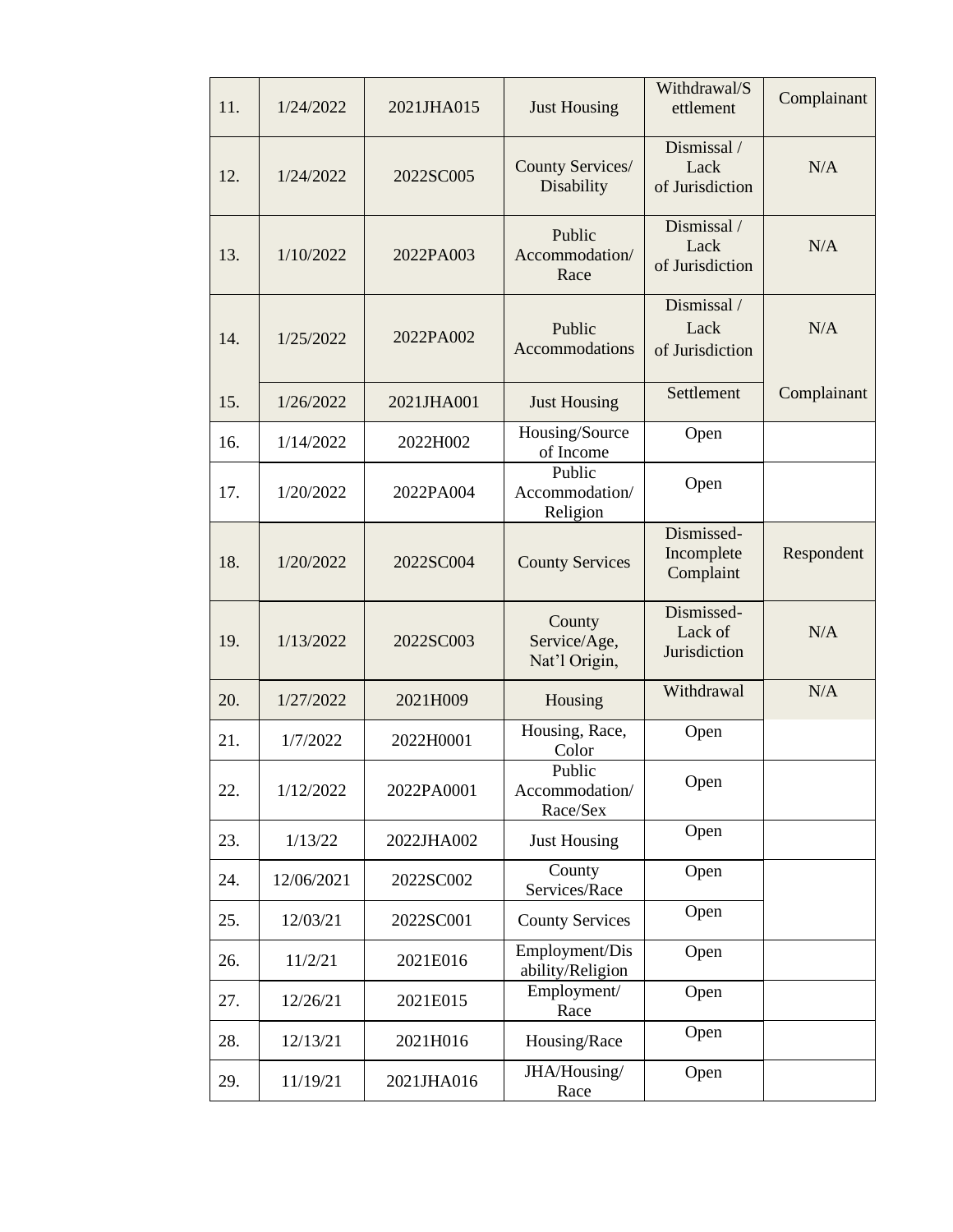| 11. | 1/24/2022  | 2021JHA015 | <b>Just Housing</b>                     | Withdrawal/S<br>ettlement              | Complainant |
|-----|------------|------------|-----------------------------------------|----------------------------------------|-------------|
| 12. | 1/24/2022  | 2022SC005  | County Services/<br>Disability          | Dismissal /<br>Lack<br>of Jurisdiction | N/A         |
| 13. | 1/10/2022  | 2022PA003  | Public<br>Accommodation/<br>Race        | Dismissal /<br>Lack<br>of Jurisdiction | N/A         |
| 14. | 1/25/2022  | 2022PA002  | Public<br>Accommodations                | Dismissal /<br>Lack<br>of Jurisdiction | N/A         |
| 15. | 1/26/2022  | 2021JHA001 | <b>Just Housing</b>                     | Settlement                             | Complainant |
| 16. | 1/14/2022  | 2022H002   | Housing/Source<br>of Income             | Open                                   |             |
| 17. | 1/20/2022  | 2022PA004  | Public<br>Accommodation/<br>Religion    | Open                                   |             |
| 18. | 1/20/2022  | 2022SC004  | <b>County Services</b>                  | Dismissed-<br>Incomplete<br>Complaint  | Respondent  |
| 19. | 1/13/2022  | 2022SC003  | County<br>Service/Age,<br>Nat'l Origin, | Dismissed-<br>Lack of<br>Jurisdiction  | N/A         |
| 20. | 1/27/2022  | 2021H009   | Housing                                 | Withdrawal                             | N/A         |
| 21. | 1/7/2022   | 2022H0001  | Housing, Race,<br>Color                 | Open                                   |             |
| 22. | 1/12/2022  | 2022PA0001 | Public<br>Accommodation/<br>Race/Sex    | Open                                   |             |
| 23. | 1/13/22    | 2022JHA002 | <b>Just Housing</b>                     | Open                                   |             |
| 24. | 12/06/2021 | 2022SC002  | County<br>Services/Race                 | Open                                   |             |
| 25. | 12/03/21   | 2022SC001  | <b>County Services</b>                  | Open                                   |             |
| 26. | 11/2/21    | 2021E016   | Employment/Dis<br>ability/Religion      | Open                                   |             |
| 27. | 12/26/21   | 2021E015   | Employment/<br>Race                     | Open                                   |             |
| 28. | 12/13/21   | 2021H016   | Housing/Race                            | Open                                   |             |
| 29. | 11/19/21   | 2021JHA016 | JHA/Housing/<br>Race                    | Open                                   |             |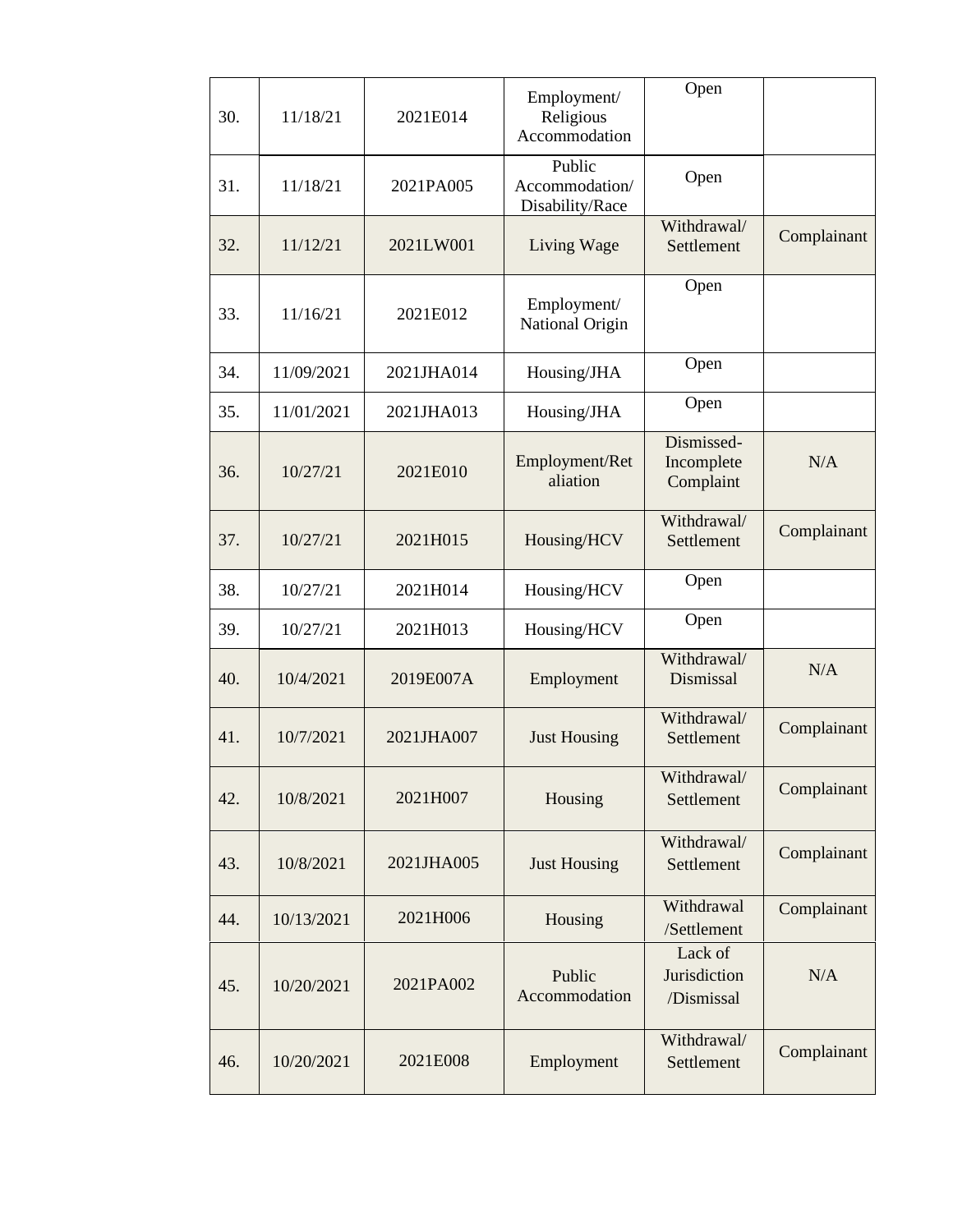| 30. | 11/18/21   | 2021E014   | Employment/<br>Religious<br>Accommodation   | Open                                  |             |
|-----|------------|------------|---------------------------------------------|---------------------------------------|-------------|
| 31. | 11/18/21   | 2021PA005  | Public<br>Accommodation/<br>Disability/Race | Open                                  |             |
| 32. | 11/12/21   | 2021LW001  | Living Wage                                 | Withdrawal/<br>Settlement             | Complainant |
| 33. | 11/16/21   | 2021E012   | Employment/<br>National Origin              | Open                                  |             |
| 34. | 11/09/2021 | 2021JHA014 | Housing/JHA                                 | Open                                  |             |
| 35. | 11/01/2021 | 2021JHA013 | Housing/JHA                                 | Open                                  |             |
| 36. | 10/27/21   | 2021E010   | Employment/Ret<br>aliation                  | Dismissed-<br>Incomplete<br>Complaint | N/A         |
| 37. | 10/27/21   | 2021H015   | Housing/HCV                                 | Withdrawal/<br>Settlement             | Complainant |
| 38. | 10/27/21   | 2021H014   | Housing/HCV                                 | Open                                  |             |
| 39. | 10/27/21   | 2021H013   | Housing/HCV                                 | Open                                  |             |
| 40. | 10/4/2021  | 2019E007A  | Employment                                  | Withdrawal/<br>Dismissal              | N/A         |
| 41. | 10/7/2021  | 2021JHA007 | <b>Just Housing</b>                         | Withdrawal/<br>Settlement             | Complainant |
| 42. | 10/8/2021  | 2021H007   | Housing                                     | Withdrawal/<br>Settlement             | Complainant |
| 43. | 10/8/2021  | 2021JHA005 | <b>Just Housing</b>                         | Withdrawal/<br>Settlement             | Complainant |
| 44. | 10/13/2021 | 2021H006   | Housing                                     | Withdrawal<br>/Settlement             | Complainant |
| 45. | 10/20/2021 | 2021PA002  | Public<br>Accommodation                     | Lack of<br>Jurisdiction<br>/Dismissal | N/A         |
| 46. | 10/20/2021 | 2021E008   | Employment                                  | Withdrawal/<br>Settlement             | Complainant |